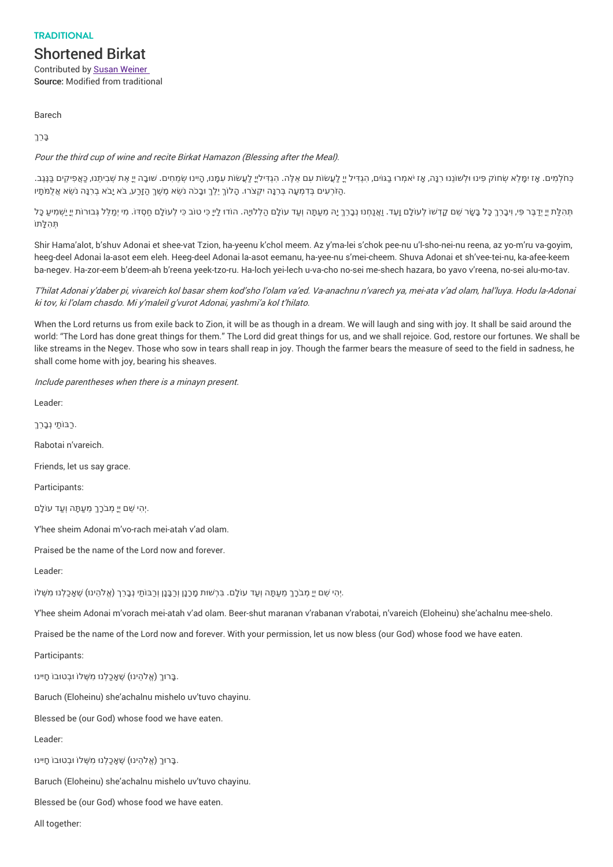#### **TRADITIONAL**

# Shortened Birkat

Contributed by Susan Weiner Source: Modified from traditional

Barech

בָּרֵךְ

### Pour the third cup of wine and recite Birkat Hamazon (Blessing after the Meal).

כְּחֹלְמִים. אָז יִמָּלֵא שְׂחוֹק פִּינוּ וּלְשוֹנֵנוּ רְנָה, אֶז יֹאמְרוּ בַגוֹּים, הִגְדִּיל יְיֱ לָעֲשׂוֹת עִם אֵלֶה. הִגְדִּילייֳ לַעֲשׂוֹת עִם אֵלֶה. הִגְדִּיל יָד לַעֲשׂוֹת עִם אֵלֶה. הִגְדִּילייֳ לַעֲשׂוֹת עִמְנוּ, ָהַזֹּרְעִים בְּדָמְעָה בְּרְנֵּה יִקְצֹרוּ. הַלוֹךְ יֵלֵךְ וּבָכֹה נֹשֵׂא מֵשֶׁךָ הַזַּרַע, בֹא יָבֹא בְרְנֵה נֹשֵׂא אֲלָמֹתָיו.

תְהָלַת ייֵיִדְבַּר פִּי, וִיבַרְךָ כַּל בַּשַׂר שִׁם קַדְשׁוֹ לְעוֹלָם וָעָד. וַאֲנַחֲנוּ גָבָרֶךְ יֶה מֶעֲתָּה וְעַד עוֹלָם הַללוּיָה. הוֹדוּ לַיַּיָפִי טוֹב פִּי לְעוֹלָם חַסְדוֹ. מִי יִמְלָּל גָּבוּרוֹת יִי יִשְׁמִיעַ  $\overline{\mathbf{r}}$ תה לתו

Shir Hama'alot, b'shuv Adonai et shee-vat Tzion, ha-yeenu k'chol meem. Az y'ma-lei s'chok pee-nu u'l-sho-nei-nu reena, az yo-m'ru va-goyim, heeg-deel Adonai la-asot eem eleh. Heeg-deel Adonai la-asot eemanu, ha-yee-nu s'mei-cheem. Shuva Adonai et sh'vee-tei-nu, ka-afee-keem ba-negev. Ha-zor-eem b'deem-ah b'reena yeek-tzo-ru. Ha-loch yei-lech u-va-cho no-sei me-shech hazara, bo yavo v'reena, no-sei alu-mo-tav.

## T'hilat Adonai y'daber pi, vivareich kol basar shem kod'sho l'olam va'ed. Va-anachnu <sup>n</sup>'varech ya, mei-ata <sup>v</sup>'ad olam, hal'luya. Hodu la-Adonai ki tov, ki l'olam chasdo. Mi y'maleil g'vurot Adonai, yashmi'a kol <sup>t</sup>'hilato.

When the Lord returns us from exile back to Zion, it will be as though in a dream. We will laugh and sing with joy. It shall be said around the world: "The Lord has done great things for them." The Lord did great things for us, and we shall rejoice. God, restore our fortunes. We shall be like streams in the Negev. Those who sow in tears shall reap in joy. Though the farmer bears the measure of seed to the field in sadness, he shall come home with joy, bearing his sheaves.

Include parentheses when there is <sup>a</sup> minayn present.

Leader:

.רַבּ ֹותַי נְבָרֵךְ

Rabotai n'vareich.

Friends, let us say grace.

Participants:

יִהי שם ייֵ מְבֹרֵךְ מַעֲתֵּה וְעַד עוֹלַם.

Y'hee sheim Adonai m'vo-rach mei-atah v'ad olam.

Praised be the name of the Lord now and forever.

Leader:

ְיָהִי שֵׁם יְיָ מְבֹכָךְ מֵעַתָּה וְעַד עוֹלָם. בִּרְשׁוּת מָרָנָן וְרַבָּנָן וְרַבּוֹתַי נְבָרֵך (אֱלֹהֵינוּ) שֶׁאֲכַלְנוּ מִשֶּׁלוֹ.

Y'hee sheim Adonai m'vorach mei-atah v'ad olam. Beer-shut maranan v'rabanan v'rabotai, n'vareich (Eloheinu) she'achalnu mee-shelo.

Praised be the name of the Lord now and forever. With your permission, let us now bless (our God) whose food we have eaten.

Participants:

ַּבְרוּךְ (אֱלֹהֵינוּ) שֶׁאֲכַלְנוּ מִשֶּׁלוֹ וּבְטוּבוֹ חָיִּינו.

Baruch (Eloheinu) she'achalnu mishelo uv'tuvo chayinu.

Blessed be (our God) whose food we have eaten.

### Leader:

ַבָּרוּךְ (אֱלֹהֵינוּ) שֶׁאֲכַלְנוּ מִשֶּׁלוֹ וּבְטוּבוֹ חָיִּינוּ.

Baruch (Eloheinu) she'achalnu mishelo uv'tuvo chayinu.

Blessed be (our God) whose food we have eaten.

All together: